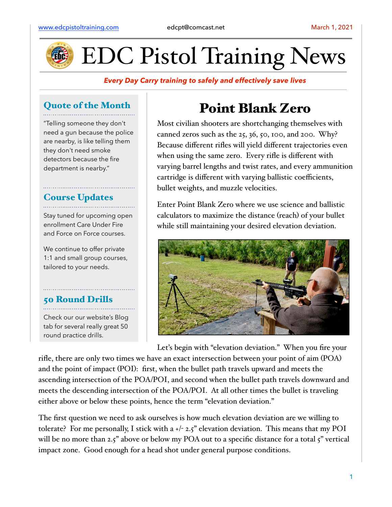

# EDC Pistol Training News

#### *Every Day Carry training to safely and effectively save lives*

#### Quote of the Month

"Telling someone they don't need a gun because the police are nearby, is like telling them they don't need smoke detectors because the fire department is nearby."

### Course Updates

Stay tuned for upcoming open enrollment Care Under Fire and Force on Force courses.

We continue to offer private 1:1 and small group courses, tailored to your needs.

### 50 Round Drills

Check our our website's Blog tab for several really great 50 round practice drills.

## Point Blank Zero

Most civilian shooters are shortchanging themselves with canned zeros such as the 25, 36, 50, 100, and 200. Why? Because different rifles will yield different trajectories even when using the same zero. Every rifle is different with varying barrel lengths and twist rates, and every ammunition cartridge is different with varying ballistic coefficients, bullet weights, and muzzle velocities.

Enter Point Blank Zero where we use science and ballistic calculators to maximize the distance (reach) of your bullet while still maintaining your desired elevation deviation.



Let's begin with "elevation deviation." When you fire your

rifle, there are only two times we have an exact intersection between your point of aim (POA) and the point of impact (POI): first, when the bullet path travels upward and meets the ascending intersection of the POA/POI, and second when the bullet path travels downward and meets the descending intersection of the POA/POI. At all other times the bullet is traveling either above or below these points, hence the term "elevation deviation."

The first question we need to ask ourselves is how much elevation deviation are we willing to tolerate? For me personally, I stick with a  $+/-$  2.5" elevation deviation. This means that my POI will be no more than 2.5" above or below my POA out to a specific distance for a total 5" vertical impact zone. Good enough for a head shot under general purpose conditions.